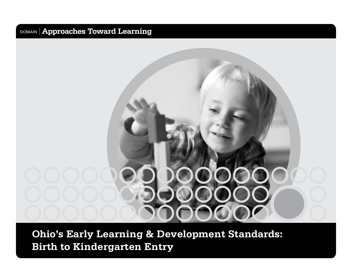# **Ohio's Early Learning & Development Standards: Birth to Kindergarten Entry**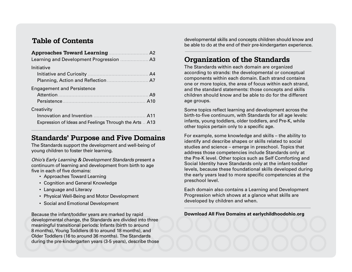#### **Table of Contents**

| A2                                                     |
|--------------------------------------------------------|
| Learning and Development Progression<br>A <sub>3</sub> |
| Initiative                                             |
| A <sub>4</sub>                                         |
| A7                                                     |
| <b>Engagement and Persistence</b>                      |
| A9                                                     |
| A10                                                    |
| Creativity                                             |
| Innovation and Invention<br>A11                        |
| Expression of Ideas and Feelings Through the Arts  A13 |

#### **Standards' Purpose and Five Domains**

The Standards support the development and well-being of young children to foster their learning.

*Ohio's Early Learning & Development Standards* present a continuum of learning and development from birth to age five in each of five domains:

- Approaches Toward Learning
- Cognition and General Knowledge
- Language and Literacy
- Physical Well-Being and Motor Development
- Social and Emotional Development

Because the infant/toddler years are marked by rapid developmental change, the Standards are divided into three meaningful transitional periods: Infants (birth to around 8 months), Young Toddlers (6 to around 18 months), and Older Toddlers (16 to around 36 months). The Standards during the pre-kindergarten years (3-5 years), describe those

developmental skills and concepts children should know and be able to do at the end of their pre-kindergarten experience.

#### **Organization of the Standards**

The Standards within each domain are organized according to strands: the developmental or conceptual components within each domain. Each strand contains one or more topics, the area of focus within each strand, and the standard statements: those concepts and skills children should know and be able to do for the different age groups.

Some topics reflect learning and development across the birth-to-five continuum, with Standards for all age levels: infants, young toddlers, older toddlers, and Pre-K, while other topics pertain only to a specific age.

For example, some knowledge and skills – the ability to identify and describe shapes or skills related to social studies and science – emerge in preschool. Topics that address those competencies include Standards only at the Pre-K level. Other topics such as Self Comforting and Social Identity have Standards only at the infant-toddler levels, because these foundational skills developed during the early years lead to more specific competencies at the preschool level.

Each domain also contains a Learning and Development Progression which shows at a glance what skills are developed by children and when.

#### **Download All Five Domains at earlychildhoodohio.org**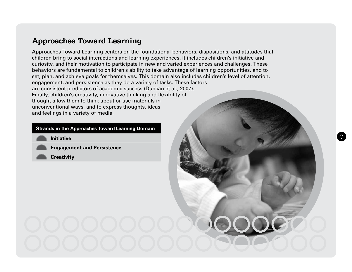#### **Approaches Toward Learning**

Approaches Toward Learning centers on the foundational behaviors, dispositions, and attitudes that children bring to social interactions and learning experiences. It includes children's initiative and curiosity, and their motivation to participate in new and varied experiences and challenges. These behaviors are fundamental to children's ability to take advantage of learning opportunities, and to set, plan, and achieve goals for themselves. This domain also includes children's level of attention, engagement, and persistence as they do a variety of tasks. These factors are consistent predictors of academic success (Duncan et al., 2007). Finally, children's creativity, innovative thinking and flexibility of thought allow them to think about or use materials in unconventional ways, and to express thoughts, ideas and feelings in a variety of media.

**A 2**

#### **Strands in the Approaches Toward Learning Domain**

**Initiative** 

**Engagement and Persistence**

**Creativity**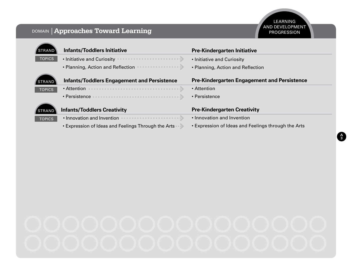**A 3**

| <b>Infants/Toddlers Initiative</b>                 | <b>Pre-Kindergarten Initiative</b>                 |
|----------------------------------------------------|----------------------------------------------------|
| • Initiative and Curiosity                         | • Initiative and Curiosity                         |
| • Planning, Action and Reflection                  | • Planning, Action and Reflection                  |
| <b>Infants/Toddlers Engagement and Persistence</b> | <b>Pre-Kindergarten Engagement and Persistence</b> |
| • Attention                                        | • Attention                                        |
| · Persistence                                      | · Persistence                                      |
| <b>Infants/Toddlers Creativity</b>                 | <b>Pre-Kindergarten Creativity</b>                 |
| • Innovation and Invention                         | • Innovation and Invention                         |
|                                                    |                                                    |
|                                                    |                                                    |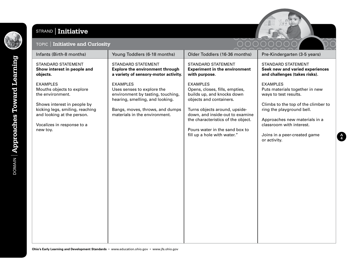

#### STRAND **Initiative**



#### TOPIC **Initiative and Curiosity**

|                                                                                                                                                                                                            |                                                                                                                                                                                           |                                                                                                                                                                                                                                                                                       | 20000000                                                                                                                                                                                                                                                    |
|------------------------------------------------------------------------------------------------------------------------------------------------------------------------------------------------------------|-------------------------------------------------------------------------------------------------------------------------------------------------------------------------------------------|---------------------------------------------------------------------------------------------------------------------------------------------------------------------------------------------------------------------------------------------------------------------------------------|-------------------------------------------------------------------------------------------------------------------------------------------------------------------------------------------------------------------------------------------------------------|
| Infants (Birth-8 months)                                                                                                                                                                                   | Young Toddlers (6-18 months)                                                                                                                                                              | Older Toddlers (16-36 months)                                                                                                                                                                                                                                                         | Pre-Kindergarten (3-5 years)                                                                                                                                                                                                                                |
| <b>STANDARD STATEMENT</b><br>Show interest in people and<br>objects.                                                                                                                                       | <b>STANDARD STATEMENT</b><br><b>Explore the environment through</b><br>a variety of sensory-motor activity.                                                                               | <b>STANDARD STATEMENT</b><br><b>Experiment in the environment</b><br>with purpose.                                                                                                                                                                                                    | <b>STANDARD STATEMENT</b><br>Seek new and varied experiences<br>and challenges (takes risks).                                                                                                                                                               |
| <b>EXAMPLES</b><br>Mouths objects to explore<br>the environment.<br>Shows interest in people by<br>kicking legs, smiling, reaching<br>and looking at the person.<br>Vocalizes in response to a<br>new toy. | <b>EXAMPLES</b><br>Uses senses to explore the<br>environment by tasting, touching,<br>hearing, smelling, and looking.<br>Bangs, moves, throws, and dumps<br>materials in the environment. | <b>EXAMPLES</b><br>Opens, closes, fills, empties,<br>builds up, and knocks down<br>objects and containers.<br>Turns objects around, upside-<br>down, and inside-out to examine<br>the characteristics of the object.<br>Pours water in the sand box to<br>fill up a hole with water." | <b>EXAMPLES</b><br>Puts materials together in new<br>ways to test results.<br>Climbs to the top of the climber to<br>ring the playground bell.<br>Approaches new materials in a<br>classroom with interest.<br>Joins in a peer-created game<br>or activity. |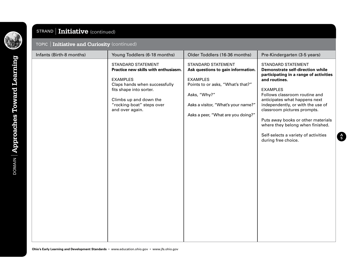

**DOMAIN** | Approaches Toward Learning

## STRAND **Initiative** (continued)

#### TOPIC **Initiative and Curiosity** (continued)

| Infants (Birth-8 months) | Young Toddlers (6-18 months)                                                                                                                                                                                        | Older Toddlers (16-36 months)                                                                                                                                                                                 | Pre-Kindergarten (3-5 years)                                                                                                                                                                                                                                                                                                                                                                                                      |
|--------------------------|---------------------------------------------------------------------------------------------------------------------------------------------------------------------------------------------------------------------|---------------------------------------------------------------------------------------------------------------------------------------------------------------------------------------------------------------|-----------------------------------------------------------------------------------------------------------------------------------------------------------------------------------------------------------------------------------------------------------------------------------------------------------------------------------------------------------------------------------------------------------------------------------|
|                          | STANDARD STATEMENT<br>Practice new skills with enthusiasm.<br><b>EXAMPLES</b><br>Claps hands when successfully<br>fits shape into sorter.<br>Climbs up and down the<br>"rocking-boat" steps over<br>and over again. | STANDARD STATEMENT<br>Ask questions to gain information.<br><b>EXAMPLES</b><br>Points to or asks, "What's that?"<br>Asks, "Why?"<br>Asks a visitor, "What's your name?"<br>Asks a peer, "What are you doing?" | <b>STANDARD STATEMENT</b><br><b>Demonstrate self-direction while</b><br>participating in a range of activities<br>and routines.<br><b>EXAMPLES</b><br>Follows classroom routine and<br>anticipates what happens next<br>independently, or with the use of<br>classroom pictures prompts.<br>Puts away books or other materials<br>where they belong when finished.<br>Self-selects a variety of activities<br>during free choice. |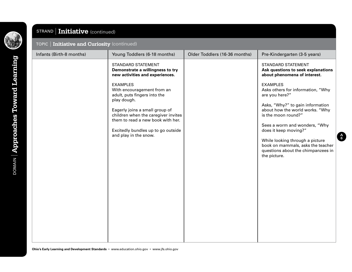**DOMAIN** | Approaches Toward Learning DOMAIN **Approaches Toward Learning**

## STRAND **Initiative** (continued)

#### TOPIC **Initiative and Curiosity** (continued)

| Infants (Birth-8 months) | Young Toddlers (6-18 months)                                                                                                                                              | Older Toddlers (16-36 months) | Pre-Kindergarten (3-5 years)                                                                                                                                                                                                                                                       |
|--------------------------|---------------------------------------------------------------------------------------------------------------------------------------------------------------------------|-------------------------------|------------------------------------------------------------------------------------------------------------------------------------------------------------------------------------------------------------------------------------------------------------------------------------|
|                          | <b>STANDARD STATEMENT</b><br>Demonstrate a willingness to try<br>new activities and experiences.                                                                          |                               | <b>STANDARD STATEMENT</b><br>Ask questions to seek explanations<br>about phenomena of interest.                                                                                                                                                                                    |
|                          | <b>EXAMPLES</b><br>With encouragement from an<br>adult, puts fingers into the<br>play dough.                                                                              |                               | <b>EXAMPLES</b><br>Asks others for information, "Why<br>are you here?"                                                                                                                                                                                                             |
|                          | Eagerly joins a small group of<br>children when the caregiver invites<br>them to read a new book with her.<br>Excitedly bundles up to go outside<br>and play in the snow. |                               | Asks, "Why?" to gain information<br>about how the world works. "Why<br>is the moon round?"<br>Sees a worm and wonders, "Why<br>does it keep moving?"<br>While looking through a picture<br>book on mammals, asks the teacher<br>questions about the chimpanzees in<br>the picture. |
|                          |                                                                                                                                                                           |                               |                                                                                                                                                                                                                                                                                    |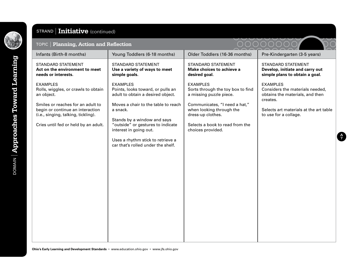

## STRAND **Initiative** (continued)

| TOPIC   Planning, Action and Reflection                                                                                                                                                                                      |                                                                                                                                                                                                                                                                                                                       |                                                                                                                                                                                                                           |                                                                                                                                                                      |
|------------------------------------------------------------------------------------------------------------------------------------------------------------------------------------------------------------------------------|-----------------------------------------------------------------------------------------------------------------------------------------------------------------------------------------------------------------------------------------------------------------------------------------------------------------------|---------------------------------------------------------------------------------------------------------------------------------------------------------------------------------------------------------------------------|----------------------------------------------------------------------------------------------------------------------------------------------------------------------|
| Infants (Birth-8 months)                                                                                                                                                                                                     | Young Toddlers (6-18 months)                                                                                                                                                                                                                                                                                          | Older Toddlers (16-36 months)                                                                                                                                                                                             | Pre-Kindergarten (3-5 years)                                                                                                                                         |
| <b>STANDARD STATEMENT</b><br>Act on the environment to meet<br>needs or interests.                                                                                                                                           | <b>STANDARD STATEMENT</b><br>Use a variety of ways to meet<br>simple goals.                                                                                                                                                                                                                                           | <b>STANDARD STATEMENT</b><br>Make choices to achieve a<br>desired goal.                                                                                                                                                   | <b>STANDARD STATEMENT</b><br>Develop, initiate and carry out<br>simple plans to obtain a goal.                                                                       |
| <b>EXAMPLES</b><br>Rolls, wiggles, or crawls to obtain<br>an object.<br>Smiles or reaches for an adult to<br>begin or continue an interaction<br>(i.e., singing, talking, tickling).<br>Cries until fed or held by an adult. | <b>EXAMPLES</b><br>Points, looks toward, or pulls an<br>adult to obtain a desired object.<br>Moves a chair to the table to reach<br>a snack.<br>Stands by a window and says<br>"outside" or gestures to indicate<br>interest in going out.<br>Uses a rhythm stick to retrieve a<br>car that's rolled under the shelf. | <b>EXAMPLES</b><br>Sorts through the toy box to find<br>a missing puzzle piece.<br>Communicates, "I need a hat,"<br>when looking through the<br>dress-up clothes.<br>Selects a book to read from the<br>choices provided. | <b>EXAMPLES</b><br>Considers the materials needed,<br>obtains the materials, and then<br>creates.<br>Selects art materials at the art table<br>to use for a collage. |
|                                                                                                                                                                                                                              |                                                                                                                                                                                                                                                                                                                       |                                                                                                                                                                                                                           |                                                                                                                                                                      |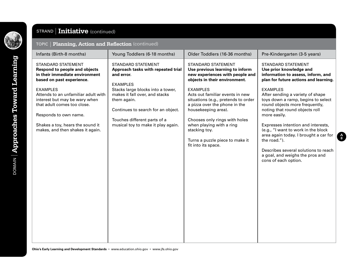

**DOMAIN** | Approaches Toward Learning DOMAIN **Approaches Toward Learning**

## STRAND **Initiative** (continued)

| Infants (Birth-8 months)                                                                                                                                                                                                | Young Toddlers (6-18 months)                                                                                                                                                                   | Older Toddlers (16-36 months)                                                                                                                                                                                                                                                             | Pre-Kindergarten (3-5 years)                                                                                                                                                                                                                                                                                                                                                                                           |
|-------------------------------------------------------------------------------------------------------------------------------------------------------------------------------------------------------------------------|------------------------------------------------------------------------------------------------------------------------------------------------------------------------------------------------|-------------------------------------------------------------------------------------------------------------------------------------------------------------------------------------------------------------------------------------------------------------------------------------------|------------------------------------------------------------------------------------------------------------------------------------------------------------------------------------------------------------------------------------------------------------------------------------------------------------------------------------------------------------------------------------------------------------------------|
| <b>STANDARD STATEMENT</b><br><b>Respond to people and objects</b><br>in their immediate environment<br>based on past experience.                                                                                        | <b>STANDARD STATEMENT</b><br>Approach tasks with repeated trial<br>and error.<br><b>EXAMPLES</b>                                                                                               | <b>STANDARD STATEMENT</b><br>Use previous learning to inform<br>new experiences with people and<br>objects in their environment.                                                                                                                                                          | <b>STANDARD STATEMENT</b><br>Use prior knowledge and<br>information to assess, inform, and<br>plan for future actions and learning.                                                                                                                                                                                                                                                                                    |
| <b>EXAMPLES</b><br>Attends to an unfamiliar adult with<br>interest but may be wary when<br>that adult comes too close.<br>Responds to own name.<br>Shakes a toy, hears the sound it<br>makes, and then shakes it again. | Stacks large blocks into a tower,<br>makes it fall over, and stacks<br>them again.<br>Continues to search for an object.<br>Touches different parts of a<br>musical toy to make it play again. | <b>EXAMPLES</b><br>Acts out familiar events in new<br>situations (e.g., pretends to order<br>a pizza over the phone in the<br>housekeeping area).<br>Chooses only rings with holes<br>when playing with a ring<br>stacking toy.<br>Turns a puzzle piece to make it<br>fit into its space. | <b>EXAMPLES</b><br>After sending a variety of shape<br>toys down a ramp, begins to select<br>round objects more frequently,<br>noting that round objects roll<br>more easily.<br>Expresses intention and interests,<br>(e.g., "I want to work in the block<br>area again today. I brought a car for<br>the road.").<br>Describes several solutions to reach<br>a goal, and weighs the pros and<br>cons of each option. |
|                                                                                                                                                                                                                         |                                                                                                                                                                                                |                                                                                                                                                                                                                                                                                           |                                                                                                                                                                                                                                                                                                                                                                                                                        |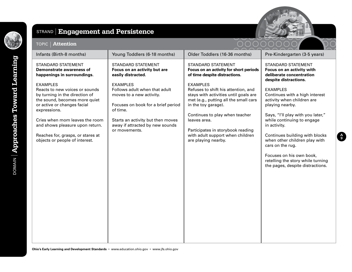

## STRAND **Engagement and Persistence**



#### TOPIC **Attention**

| Infants (Birth-8 months)                                                                                                                                                                                                                                                                                        | Young Toddlers (6-18 months)                                                                                                                                                                                            | Older Toddlers (16-36 months)                                                                                                                                                                                                                                                                                     | Pre-Kindergarten (3-5 years)                                                                                                                                                                                                                                                                                                                                                      |
|-----------------------------------------------------------------------------------------------------------------------------------------------------------------------------------------------------------------------------------------------------------------------------------------------------------------|-------------------------------------------------------------------------------------------------------------------------------------------------------------------------------------------------------------------------|-------------------------------------------------------------------------------------------------------------------------------------------------------------------------------------------------------------------------------------------------------------------------------------------------------------------|-----------------------------------------------------------------------------------------------------------------------------------------------------------------------------------------------------------------------------------------------------------------------------------------------------------------------------------------------------------------------------------|
| <b>STANDARD STATEMENT</b><br><b>Demonstrate awareness of</b><br>happenings in surroundings.                                                                                                                                                                                                                     | <b>STANDARD STATEMENT</b><br>Focus on an activity but are<br>easily distracted.                                                                                                                                         | <b>STANDARD STATEMENT</b><br>Focus on an activity for short periods<br>of time despite distractions.                                                                                                                                                                                                              | <b>STANDARD STATEMENT</b><br>Focus on an activity with<br>deliberate concentration<br>despite distractions.                                                                                                                                                                                                                                                                       |
| <b>EXAMPLES</b><br>Reacts to new voices or sounds<br>by turning in the direction of<br>the sound, becomes more quiet<br>or active or changes facial<br>expressions.<br>Cries when mom leaves the room<br>and shows pleasure upon return.<br>Reaches for, grasps, or stares at<br>objects or people of interest. | <b>EXAMPLES</b><br>Follows adult when that adult<br>moves to a new activity.<br>Focuses on book for a brief period<br>of time.<br>Starts an activity but then moves<br>away if attracted by new sounds<br>or movements. | <b>EXAMPLES</b><br>Refuses to shift his attention, and<br>stays with activities until goals are<br>met (e.g., putting all the small cars<br>in the toy garage).<br>Continues to play when teacher<br>leaves area.<br>Participates in storybook reading<br>with adult support when children<br>are playing nearby. | <b>EXAMPLES</b><br>Continues with a high interest<br>activity when children are<br>playing nearby.<br>Says, "I'll play with you later,"<br>while continuing to engage<br>in activity.<br>Continues building with blocks<br>when other children play with<br>cars on the rug.<br>Focuses on his own book,<br>retelling the story while turning<br>the pages, despite distractions. |

**Ohio's Early Learning and Development Standards** • www.education.ohio.gov • www.jfs.ohio.gov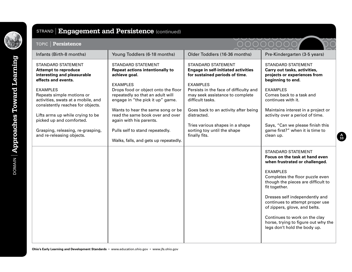

## STRAND **Engagement and Persistence** (continued)

| Persistence<br><b>TOPIC</b>                                                                                                       |                                                                                                                                                |                                                                                                                                                                        |                                                                                                                                   |
|-----------------------------------------------------------------------------------------------------------------------------------|------------------------------------------------------------------------------------------------------------------------------------------------|------------------------------------------------------------------------------------------------------------------------------------------------------------------------|-----------------------------------------------------------------------------------------------------------------------------------|
| Infants (Birth-8 months)                                                                                                          | Young Toddlers (6-18 months)                                                                                                                   | Older Toddlers (16-36 months)                                                                                                                                          | Pre-Kindergarten (3-5 years)                                                                                                      |
| <b>STANDARD STATEMENT</b><br><b>Attempt to reproduce</b><br>interesting and pleasurable<br>effects and events.<br><b>EXAMPLES</b> | <b>STANDARD STATEMENT</b><br><b>Repeat actions intentionally to</b><br>achieve goal.<br><b>EXAMPLES</b><br>Drops food or object onto the floor | <b>STANDARD STATEMENT</b><br><b>Engage in self-initiated activities</b><br>for sustained periods of time.<br><b>EXAMPLES</b><br>Persists in the face of difficulty and | <b>STANDARD STATEMENT</b><br>Carry out tasks, activities,<br>projects or experiences from<br>beginning to end.<br><b>EXAMPLES</b> |
| Repeats simple motions or<br>activities, swats at a mobile, and<br>consistently reaches for objects.                              | repeatedly so that an adult will<br>engage in "the pick it up" game.                                                                           | may seek assistance to complete<br>difficult tasks.                                                                                                                    | Comes back to a task and<br>continues with it.                                                                                    |
| Lifts arms up while crying to be<br>picked up and comforted.                                                                      | Wants to hear the same song or be<br>read the same book over and over<br>again with his parents.                                               | Goes back to an activity after being<br>distracted.<br>Tries various shapes in a shape                                                                                 | Maintains interest in a project or<br>activity over a period of time.<br>Says, "Can we please finish this                         |
| Grasping, releasing, re-grasping,<br>and re-releasing objects.                                                                    | Pulls self to stand repeatedly.<br>Walks, falls, and gets up repeatedly.                                                                       | sorting toy until the shape<br>finally fits.                                                                                                                           | game first?" when it is time to<br>clean up.                                                                                      |
|                                                                                                                                   |                                                                                                                                                |                                                                                                                                                                        | <b>STANDARD STATEMENT</b><br>Focus on the task at hand even<br>when frustrated or challenged.                                     |
|                                                                                                                                   |                                                                                                                                                |                                                                                                                                                                        | <b>EXAMPLES</b><br>Completes the floor puzzle even<br>though the pieces are difficult to<br>fit together.                         |
|                                                                                                                                   |                                                                                                                                                |                                                                                                                                                                        | Dresses self independently and<br>continues to attempt proper use<br>of zippers, glove, and belts.                                |
|                                                                                                                                   |                                                                                                                                                |                                                                                                                                                                        | Continues to work on the clay<br>horse, trying to figure out why the<br>legs don't hold the body up.                              |

**A 10**

ノマノ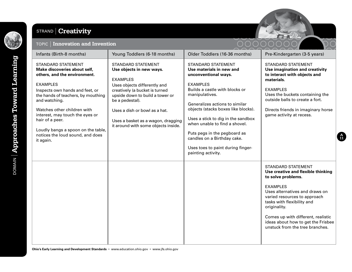

## STRAND **Creativity**



**A 11**

#### TOPIC **Innovation and Invention**

| Infants (Birth-8 months)                                                                                                                                                                                                                                                                                                                                                           | Young Toddlers (6-18 months)                                                                                                                                                                                                                                                                                   | Older Toddlers (16-36 months)                                                                                                                                                                                                                                                                                                                                                                                                  | Pre-Kindergarten (3-5 years)                                                                                                                                                                                                                                                                                                            |
|------------------------------------------------------------------------------------------------------------------------------------------------------------------------------------------------------------------------------------------------------------------------------------------------------------------------------------------------------------------------------------|----------------------------------------------------------------------------------------------------------------------------------------------------------------------------------------------------------------------------------------------------------------------------------------------------------------|--------------------------------------------------------------------------------------------------------------------------------------------------------------------------------------------------------------------------------------------------------------------------------------------------------------------------------------------------------------------------------------------------------------------------------|-----------------------------------------------------------------------------------------------------------------------------------------------------------------------------------------------------------------------------------------------------------------------------------------------------------------------------------------|
| <b>STANDARD STATEMENT</b><br>Make discoveries about self,<br>others, and the environment.<br><b>EXAMPLES</b><br>Inspects own hands and feet, or<br>the hands of teachers, by mouthing<br>and watching.<br>Watches other children with<br>interest, may touch the eyes or<br>hair of a peer.<br>Loudly bangs a spoon on the table,<br>notices the loud sound, and does<br>it again. | <b>STANDARD STATEMENT</b><br>Use objects in new ways.<br><b>EXAMPLES</b><br>Uses objects differently and<br>creatively (a bucket is turned<br>upside down to build a tower or<br>be a pedestal).<br>Uses a dish or bowl as a hat.<br>Uses a basket as a wagon, dragging<br>it around with some objects inside. | <b>STANDARD STATEMENT</b><br>Use materials in new and<br>unconventional ways.<br><b>EXAMPLES</b><br>Builds a castle with blocks or<br>manipulatives.<br>Generalizes actions to similar<br>objects (stacks boxes like blocks).<br>Uses a stick to dig in the sandbox<br>when unable to find a shovel.<br>Puts pegs in the pegboard as<br>candles on a Birthday cake.<br>Uses toes to paint during finger-<br>painting activity. | <b>STANDARD STATEMENT</b><br>Use imagination and creativity<br>to interact with objects and<br>materials.<br><b>EXAMPLES</b><br>Uses the buckets containing the<br>outside balls to create a fort.<br>Directs friends in imaginary horse<br>game activity at recess.                                                                    |
|                                                                                                                                                                                                                                                                                                                                                                                    |                                                                                                                                                                                                                                                                                                                |                                                                                                                                                                                                                                                                                                                                                                                                                                | <b>STANDARD STATEMENT</b><br>Use creative and flexible thinking<br>to solve problems.<br><b>EXAMPLES</b><br>Uses alternatives and draws on<br>varied resources to approach<br>tasks with flexibility and<br>originality.<br>Comes up with different, realistic<br>ideas about how to get the Frisbee<br>unstuck from the tree branches. |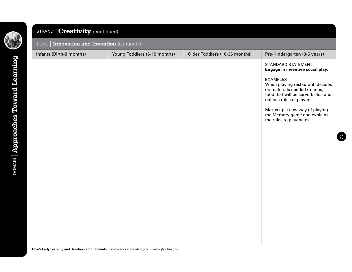

## STRAND **Creativity** (continued)

#### TOPIC **Innovation and Invention** (continued)

| . .                      |                              |                               |                                                                                                                                                                                                                                                                                                              |
|--------------------------|------------------------------|-------------------------------|--------------------------------------------------------------------------------------------------------------------------------------------------------------------------------------------------------------------------------------------------------------------------------------------------------------|
| Infants (Birth-8 months) | Young Toddlers (6-18 months) | Older Toddlers (16-36 months) | Pre-Kindergarten (3-5 years)                                                                                                                                                                                                                                                                                 |
|                          |                              |                               | STANDARD STATEMENT<br>Engage in inventive social play.<br><b>EXAMPLES</b><br>When playing restaurant, decides<br>on materials needed (menus,<br>food that will be served, etc.) and<br>defines roles of players.<br>Makes up a new way of playing<br>the Memory game and explains<br>the rules to playmates. |

**A 12**